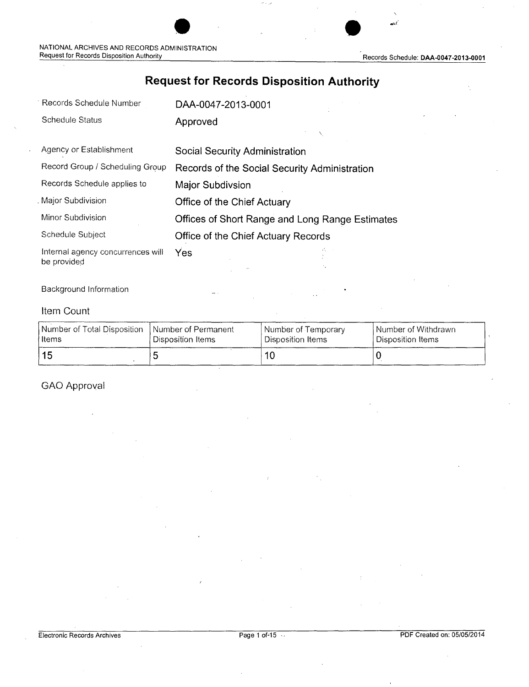Records Schedule: DAA-0047-2013-0001

## **Request for Records Disposition Authority**

| <b>Schedule Status</b><br>Approved<br>Agency or Establishment<br>Social Security Administration<br>Record Group / Scheduling Group<br>Records of the Social Security Administration<br>Records Schedule applies to<br>Major Subdivsion<br>Major Subdivision<br>Office of the Chief Actuary |  |
|--------------------------------------------------------------------------------------------------------------------------------------------------------------------------------------------------------------------------------------------------------------------------------------------|--|
|                                                                                                                                                                                                                                                                                            |  |
|                                                                                                                                                                                                                                                                                            |  |
|                                                                                                                                                                                                                                                                                            |  |
|                                                                                                                                                                                                                                                                                            |  |
|                                                                                                                                                                                                                                                                                            |  |
| Minor Subdivision<br>Offices of Short Range and Long Range Estimates                                                                                                                                                                                                                       |  |
| Schedule Subject<br>Office of the Chief Actuary Records                                                                                                                                                                                                                                    |  |
| Internal agency concurrences will<br>Yes<br>be provided                                                                                                                                                                                                                                    |  |

#### Background Information

#### Item Count

| Number of Total Disposition   Number of Permanent | Disposition Items | Number of Temporary | <b>Number of Withdrawn</b> |
|---------------------------------------------------|-------------------|---------------------|----------------------------|
| ∣ Items                                           |                   | Disposition Items   | Disposition Items          |
| l 15                                              |                   |                     |                            |

GAO Approval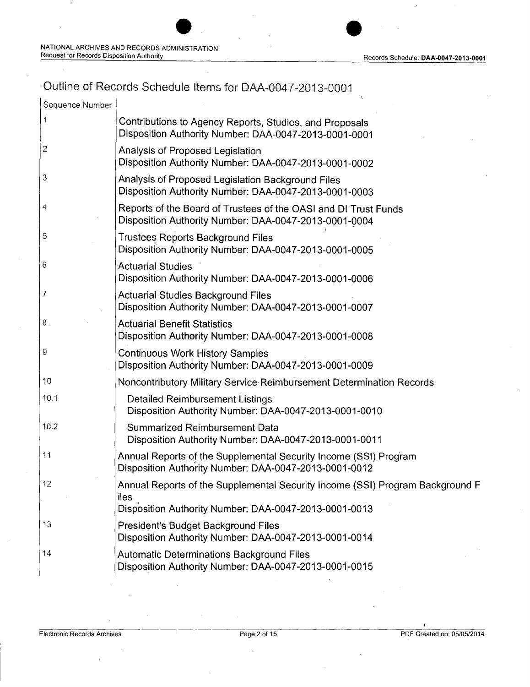# Outline of Records Schedule Items for DAA-0047-2013-0001

| Sequence Number |                                                                                                                                                       |
|-----------------|-------------------------------------------------------------------------------------------------------------------------------------------------------|
|                 | Contributions to Agency Reports, Studies, and Proposals<br>Disposition Authority Number: DAA-0047-2013-0001-0001                                      |
| $\mathbf{2}$    | Analysis of Proposed Legislation<br>Disposition Authority Number: DAA-0047-2013-0001-0002                                                             |
| 3               | Analysis of Proposed Legislation Background Files<br>Disposition Authority Number: DAA-0047-2013-0001-0003                                            |
| $\vert 4$       | Reports of the Board of Trustees of the OASI and DI Trust Funds<br>Disposition Authority Number: DAA-0047-2013-0001-0004                              |
| 5               | <b>Trustees Reports Background Files</b><br>Disposition Authority Number: DAA-0047-2013-0001-0005                                                     |
| $\sqrt{6}$      | <b>Actuarial Studies</b><br>Disposition Authority Number: DAA-0047-2013-0001-0006                                                                     |
| $\overline{I}$  | <b>Actuarial Studies Background Files</b><br>Disposition Authority Number: DAA-0047-2013-0001-0007                                                    |
| $8 \cdot$       | <b>Actuarial Benefit Statistics</b><br>Disposition Authority Number: DAA-0047-2013-0001-0008                                                          |
| $\overline{9}$  | <b>Continuous Work History Samples</b><br>Disposition Authority Number: DAA-0047-2013-0001-0009                                                       |
| 10              | Noncontributory Military Service Reimbursement Determination Records                                                                                  |
| 10.1            | <b>Detailed Reimbursement Listings</b><br>Disposition Authority Number: DAA-0047-2013-0001-0010                                                       |
| 10.2            | <b>Summarized Reimbursement Data</b><br>Disposition Authority Number: DAA-0047-2013-0001-0011                                                         |
| 11              | Annual Reports of the Supplemental Security Income (SSI) Program<br>Disposition Authority Number: DAA-0047-2013-0001-0012                             |
| 12              | Annual Reports of the Supplemental Security Income (SSI) Program Background F<br>iles                                                                 |
| 13              | Disposition Authority Number: DAA-0047-2013-0001-0013<br>President's Budget Background Files<br>Disposition Authority Number: DAA-0047-2013-0001-0014 |
| 14              | <b>Automatic Determinations Background Files</b><br>Disposition Authority Number: DAA-0047-2013-0001-0015                                             |
|                 |                                                                                                                                                       |

Electronic Records Archives **Page 2 of 15** PDF Created on: 05/05/2014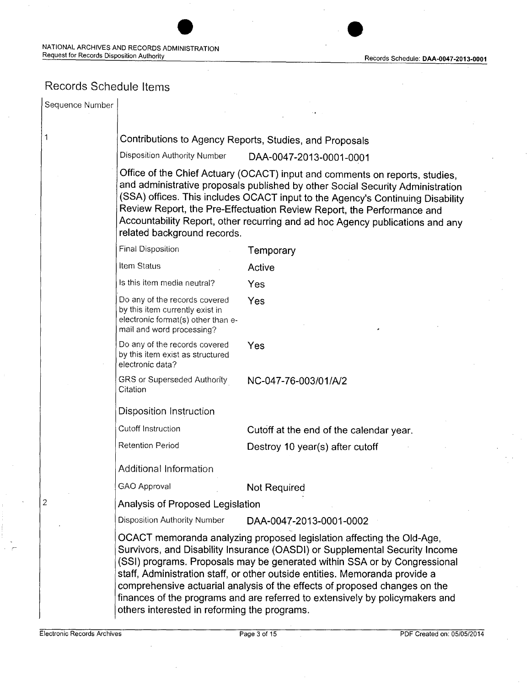## Records Schedule Items

|                                                                                                                                     | DAA-0047-2013-0001-0001                                                                                                                                                                                                                                                                                                                                                                                                                                                        |
|-------------------------------------------------------------------------------------------------------------------------------------|--------------------------------------------------------------------------------------------------------------------------------------------------------------------------------------------------------------------------------------------------------------------------------------------------------------------------------------------------------------------------------------------------------------------------------------------------------------------------------|
| related background records.                                                                                                         | Office of the Chief Actuary (OCACT) input and comments on reports, studies,<br>and administrative proposals published by other Social Security Administration<br>(SSA) offices. This includes OCACT input to the Agency's Continuing Disability<br>Review Report, the Pre-Effectuation Review Report, the Performance and<br>Accountability Report, other recurring and ad hoc Agency publications and any                                                                     |
| <b>Final Disposition</b>                                                                                                            | Temporary                                                                                                                                                                                                                                                                                                                                                                                                                                                                      |
| <b>Item Status</b>                                                                                                                  | Active                                                                                                                                                                                                                                                                                                                                                                                                                                                                         |
| Is this item media neutral?                                                                                                         | Yes                                                                                                                                                                                                                                                                                                                                                                                                                                                                            |
| Do any of the records covered<br>by this item currently exist in<br>electronic format(s) other than e-<br>mail and word processing? | Yes                                                                                                                                                                                                                                                                                                                                                                                                                                                                            |
| Do any of the records covered<br>by this item exist as structured<br>electronic data?                                               | Yes                                                                                                                                                                                                                                                                                                                                                                                                                                                                            |
| <b>GRS or Superseded Authority</b><br>Citation                                                                                      | NC-047-76-003/01/A/2                                                                                                                                                                                                                                                                                                                                                                                                                                                           |
| <b>Disposition Instruction</b>                                                                                                      |                                                                                                                                                                                                                                                                                                                                                                                                                                                                                |
| <b>Cutoff Instruction</b>                                                                                                           | Cutoff at the end of the calendar year.                                                                                                                                                                                                                                                                                                                                                                                                                                        |
| <b>Retention Period</b>                                                                                                             | Destroy 10 year(s) after cutoff                                                                                                                                                                                                                                                                                                                                                                                                                                                |
| <b>Additional Information</b>                                                                                                       |                                                                                                                                                                                                                                                                                                                                                                                                                                                                                |
| GAO Approval                                                                                                                        | <b>Not Required</b>                                                                                                                                                                                                                                                                                                                                                                                                                                                            |
| Analysis of Proposed Legislation                                                                                                    |                                                                                                                                                                                                                                                                                                                                                                                                                                                                                |
| <b>Disposition Authority Number</b>                                                                                                 | DAA-0047-2013-0001-0002                                                                                                                                                                                                                                                                                                                                                                                                                                                        |
| others interested in reforming the programs.                                                                                        | OCACT memoranda analyzing proposed legislation affecting the Old-Age,<br>Survivors, and Disability Insurance (OASDI) or Supplemental Security Income<br>(SSI) programs. Proposals may be generated within SSA or by Congressional<br>staff, Administration staff, or other outside entities. Memoranda provide a<br>comprehensive actuarial analysis of the effects of proposed changes on the<br>finances of the programs and are referred to extensively by policymakers and |
|                                                                                                                                     | Contributions to Agency Reports, Studies, and Proposals<br>Disposition Authority Number                                                                                                                                                                                                                                                                                                                                                                                        |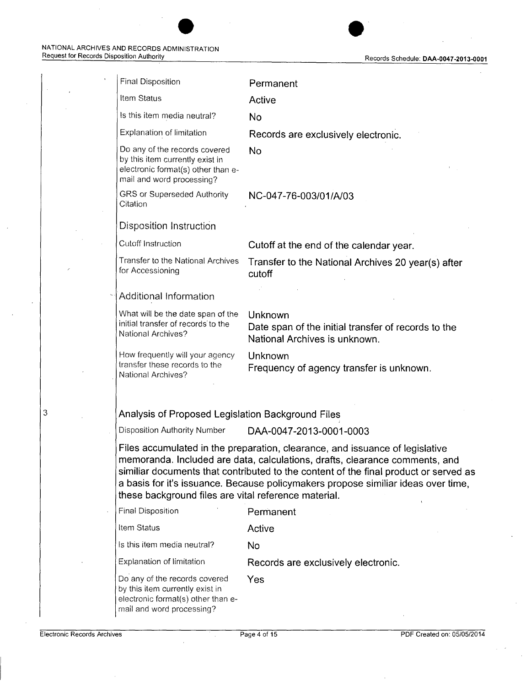$\overline{\phantom{a}}$ 

| <b>Final Disposition</b>                                                                                                            | Permanent                                                                                                                                                                                                                                                                                                                                |
|-------------------------------------------------------------------------------------------------------------------------------------|------------------------------------------------------------------------------------------------------------------------------------------------------------------------------------------------------------------------------------------------------------------------------------------------------------------------------------------|
| Item Status                                                                                                                         | Active                                                                                                                                                                                                                                                                                                                                   |
| Is this item media neutral?                                                                                                         | <b>No</b>                                                                                                                                                                                                                                                                                                                                |
| Explanation of limitation                                                                                                           | Records are exclusively electronic.                                                                                                                                                                                                                                                                                                      |
| Do any of the records covered<br>by this item currently exist in<br>electronic format(s) other than e-<br>mail and word processing? | <b>No</b>                                                                                                                                                                                                                                                                                                                                |
| <b>GRS or Superseded Authority</b><br>Citation                                                                                      | NC-047-76-003/01/A/03                                                                                                                                                                                                                                                                                                                    |
| Disposition Instruction                                                                                                             |                                                                                                                                                                                                                                                                                                                                          |
| Cutoff Instruction                                                                                                                  | Cutoff at the end of the calendar year.                                                                                                                                                                                                                                                                                                  |
| Transfer to the National Archives<br>for Accessioning                                                                               | Transfer to the National Archives 20 year(s) after<br>cutoff                                                                                                                                                                                                                                                                             |
| <b>Additional Information</b>                                                                                                       |                                                                                                                                                                                                                                                                                                                                          |
| What will be the date span of the<br>initial transfer of records to the<br><b>National Archives?</b>                                | Unknown<br>Date span of the initial transfer of records to the<br>National Archives is unknown.                                                                                                                                                                                                                                          |
| How frequently will your agency<br>transfer these records to the<br>National Archives?                                              | Unknown<br>Frequency of agency transfer is unknown.                                                                                                                                                                                                                                                                                      |
|                                                                                                                                     |                                                                                                                                                                                                                                                                                                                                          |
| Analysis of Proposed Legislation Background Files                                                                                   |                                                                                                                                                                                                                                                                                                                                          |
| <b>Disposition Authority Number</b>                                                                                                 | DAA-0047-2013-0001-0003                                                                                                                                                                                                                                                                                                                  |
| these background files are vital reference material.                                                                                | Files accumulated in the preparation, clearance, and issuance of legislative<br>memoranda. Included are data, calculations, drafts, clearance comments, and<br>similiar documents that contributed to the content of the final product or served as<br>a basis for it's issuance. Because policymakers propose similiar ideas over time, |
| <b>Final Disposition</b>                                                                                                            | Permanent                                                                                                                                                                                                                                                                                                                                |
| Item Status                                                                                                                         | Active                                                                                                                                                                                                                                                                                                                                   |
| Is this item media neutral?                                                                                                         | No.                                                                                                                                                                                                                                                                                                                                      |
| <b>Explanation of limitation</b>                                                                                                    | Records are exclusively electronic.                                                                                                                                                                                                                                                                                                      |
| Do any of the records covered<br>by this item currently exist in<br>electronic format(s) other than e-<br>mail and word processing? | Yes                                                                                                                                                                                                                                                                                                                                      |

3

 $\bar{\mathcal{A}}$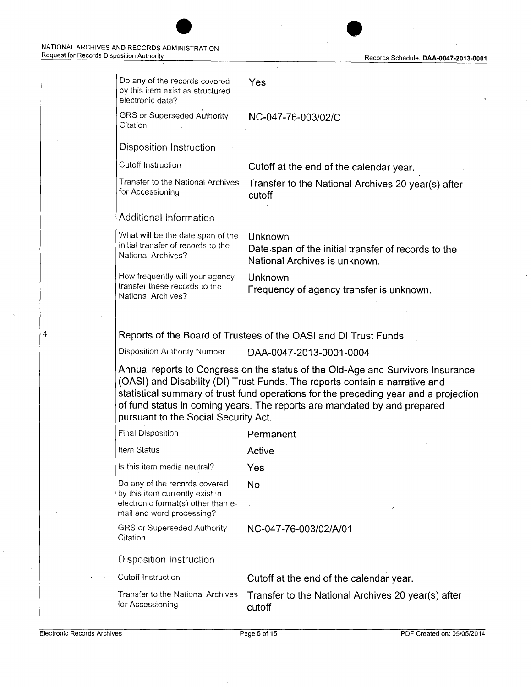| Do any of the records covered<br>by this item exist as structured<br>electronic data?                                                                                                                                                                                                                                                                                      | Yes                                                                                             |
|----------------------------------------------------------------------------------------------------------------------------------------------------------------------------------------------------------------------------------------------------------------------------------------------------------------------------------------------------------------------------|-------------------------------------------------------------------------------------------------|
| <b>GRS or Superseded Authority</b><br>Citation                                                                                                                                                                                                                                                                                                                             | NC-047-76-003/02/C                                                                              |
| Disposition Instruction                                                                                                                                                                                                                                                                                                                                                    |                                                                                                 |
| Cutoff Instruction                                                                                                                                                                                                                                                                                                                                                         | Cutoff at the end of the calendar year.                                                         |
| Transfer to the National Archives<br>for Accessioning                                                                                                                                                                                                                                                                                                                      | Transfer to the National Archives 20 year(s) after<br>cutoff                                    |
| <b>Additional Information</b>                                                                                                                                                                                                                                                                                                                                              |                                                                                                 |
| What will be the date span of the<br>initial transfer of records to the<br>National Archives?                                                                                                                                                                                                                                                                              | Unknown<br>Date span of the initial transfer of records to the<br>National Archives is unknown. |
| How frequently will your agency<br>transfer these records to the<br>National Archives?                                                                                                                                                                                                                                                                                     | Unknown<br>Frequency of agency transfer is unknown.                                             |
|                                                                                                                                                                                                                                                                                                                                                                            |                                                                                                 |
|                                                                                                                                                                                                                                                                                                                                                                            | Reports of the Board of Trustees of the OASI and DI Trust Funds                                 |
| Disposition Authority Number                                                                                                                                                                                                                                                                                                                                               | DAA-0047-2013-0001-0004                                                                         |
| Annual reports to Congress on the status of the Old-Age and Survivors Insurance<br>(OASI) and Disability (DI) Trust Funds. The reports contain a narrative and<br>statistical summary of trust fund operations for the preceding year and a projection<br>of fund status in coming years. The reports are mandated by and prepared<br>pursuant to the Social Security Act. |                                                                                                 |
| <b>Final Disposition</b>                                                                                                                                                                                                                                                                                                                                                   | Permanent                                                                                       |
| Item Status <b>Status</b>                                                                                                                                                                                                                                                                                                                                                  | Active                                                                                          |
| Is this item media neutral?                                                                                                                                                                                                                                                                                                                                                | Yes                                                                                             |
| Do any of the records covered<br>by this item currently exist in<br>electronic format(s) other than e-<br>mail and word processing?                                                                                                                                                                                                                                        | <b>No</b>                                                                                       |
| <b>GRS or Superseded Authority</b><br>Citation                                                                                                                                                                                                                                                                                                                             | NC-047-76-003/02/A/01                                                                           |
| Disposition Instruction                                                                                                                                                                                                                                                                                                                                                    |                                                                                                 |
| Cutoff Instruction                                                                                                                                                                                                                                                                                                                                                         | Cutoff at the end of the calendar year.                                                         |
| <b>Transfer to the National Archives</b><br>for Accessioning                                                                                                                                                                                                                                                                                                               | Transfer to the National Archives 20 year(s) after<br>cutoff                                    |
|                                                                                                                                                                                                                                                                                                                                                                            |                                                                                                 |

4

Electronic Records Archives Page 5 of 15 PDF Created on: 05/05/2014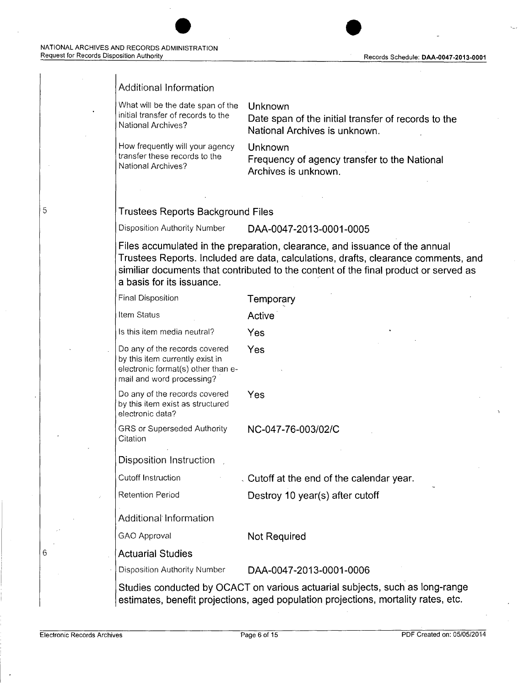5

#### Additional Information

What will be the date span of the initial transfer of records to the National Archives?

How frequently will your agency transfer these records to the National Archives?

**Unknown** 

**Date span of the initial transfer of records to the National Archives is unknown.** 

**Unknown** 

**Frequency of agency transfer to the National Archives is unknown.** 

#### **Trustees Reports Background Files**

Disposition Authority Number **DAA-004 7-2013-0001-0005** 

**Files accumulated in the preparation, clearance, and issuance of the annual Trustees Reports. Included are data, calculations, drafts, clearance comments, and**  similiar documents that contributed to the content of the final product or served as **a basis for its issuance.**  ·

| <b>Final Disposition</b>                                                                                                            | Temporary                                                                                                                                                          |
|-------------------------------------------------------------------------------------------------------------------------------------|--------------------------------------------------------------------------------------------------------------------------------------------------------------------|
| <b>Item Status</b>                                                                                                                  | Active                                                                                                                                                             |
| Is this item media neutral?                                                                                                         | Yes                                                                                                                                                                |
| Do any of the records covered<br>by this item currently exist in<br>electronic format(s) other than e-<br>mail and word processing? | Yes                                                                                                                                                                |
| Do any of the records covered<br>by this item exist as structured<br>electronic data?                                               | Yes                                                                                                                                                                |
| <b>GRS or Superseded Authority</b><br>Citation                                                                                      | NC-047-76-003/02/C                                                                                                                                                 |
| Disposition Instruction                                                                                                             |                                                                                                                                                                    |
| <b>Cutoff Instruction</b>                                                                                                           | . Cutoff at the end of the calendar year.                                                                                                                          |
| <b>Retention Period</b>                                                                                                             | Destroy 10 year(s) after cutoff                                                                                                                                    |
| <b>Additional Information</b>                                                                                                       |                                                                                                                                                                    |
| <b>GAO Approval</b>                                                                                                                 | <b>Not Required</b>                                                                                                                                                |
| <b>Actuarial Studies</b>                                                                                                            |                                                                                                                                                                    |
| <b>Disposition Authority Number</b>                                                                                                 | DAA-0047-2013-0001-0006                                                                                                                                            |
|                                                                                                                                     | Studies conducted by OCACT on various actuarial subjects, such as long-range<br>estimates, benefit projections, aged population projections, mortality rates, etc. |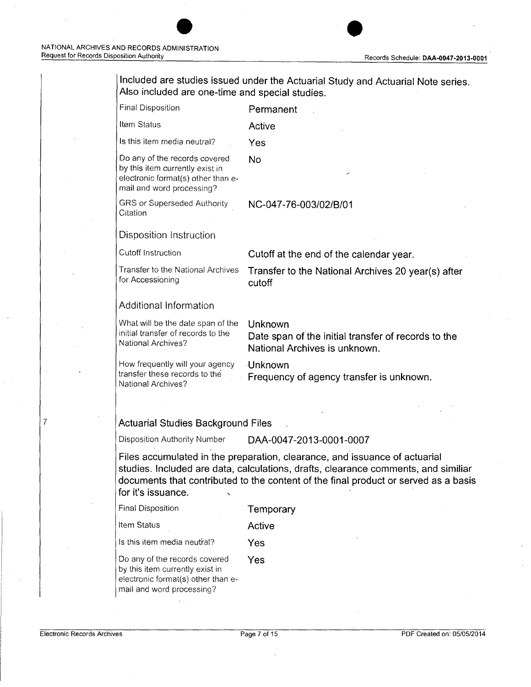| <b>Final Disposition</b>                                                                                                            | Permanent                                                                                       |
|-------------------------------------------------------------------------------------------------------------------------------------|-------------------------------------------------------------------------------------------------|
| Item Status                                                                                                                         | Active                                                                                          |
| Is this item media neutral?                                                                                                         | Yes                                                                                             |
| Do any of the records covered<br>by this item currently exist in<br>electronic format(s) other than e-<br>mail and word processing? | <b>No</b>                                                                                       |
| <b>GRS or Superseded Authority</b><br>Citation                                                                                      | NC-047-76-003/02/B/01                                                                           |
| <b>Disposition Instruction</b>                                                                                                      |                                                                                                 |
| Cutoff Instruction                                                                                                                  | Cutoff at the end of the calendar year.                                                         |
| Transfer to the National Archives<br>for Accessioning                                                                               | Transfer to the National Archives 20 year(s) after<br>cutoff                                    |
| <b>Additional Information</b>                                                                                                       |                                                                                                 |
| What will be the date span of the<br>initial transfer of records to the<br>National Archives?                                       | Unknown<br>Date span of the initial transfer of records to the<br>National Archives is unknown. |
| How frequently will your agency<br>transfer these records to the<br>National Archives?                                              | Unknown<br>Frequency of agency transfer is unknown.                                             |
|                                                                                                                                     |                                                                                                 |
| <b>Actuarial Studies Background Files</b>                                                                                           |                                                                                                 |
| <b>Disposition Authority Number</b>                                                                                                 | DAA-0047-2013-0001-0007                                                                         |

**studies. Included are data, calculations, drafts, clearance comments, and similiar documents that contributed to the content of the final product or served as a basis for it's issuance.** ,

| <b>Final Disposition</b> | Temporary |
|--------------------------|-----------|
|--------------------------|-----------|

**Item Status <b>Active** 

Is this item media neutral? **Yes** 

Do any of the records covere d by this item currently exist in electronic format(s) other than email and word processing? **Yes**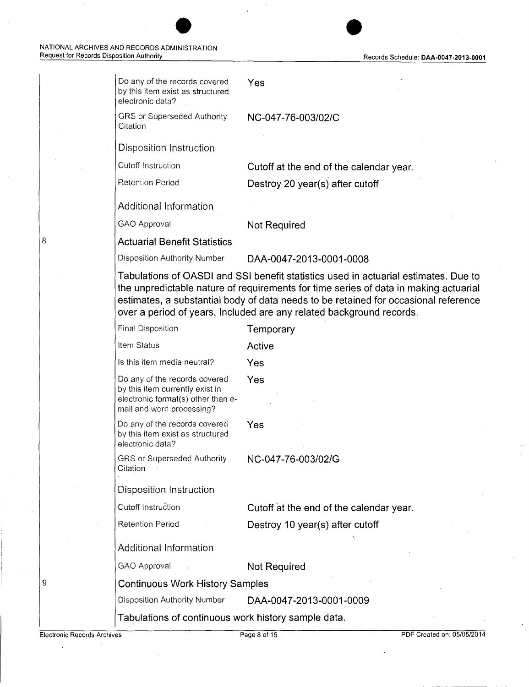| Do any of the records covered<br>by this item exist as structured<br>electronic data?                                               | Yes                                                                                                                                                                                                                                                                                                                                        |
|-------------------------------------------------------------------------------------------------------------------------------------|--------------------------------------------------------------------------------------------------------------------------------------------------------------------------------------------------------------------------------------------------------------------------------------------------------------------------------------------|
| <b>GRS or Superseded Authority</b><br>Citation                                                                                      | NC-047-76-003/02/C                                                                                                                                                                                                                                                                                                                         |
| Disposition Instruction                                                                                                             |                                                                                                                                                                                                                                                                                                                                            |
| <b>Cutoff Instruction</b>                                                                                                           | Cutoff at the end of the calendar year.                                                                                                                                                                                                                                                                                                    |
| <b>Retention Period</b>                                                                                                             | Destroy 20 year(s) after cutoff                                                                                                                                                                                                                                                                                                            |
| <b>Additional Information</b>                                                                                                       |                                                                                                                                                                                                                                                                                                                                            |
| <b>GAO Approval</b>                                                                                                                 | Not Required                                                                                                                                                                                                                                                                                                                               |
| <b>Actuarial Benefit Statistics</b>                                                                                                 |                                                                                                                                                                                                                                                                                                                                            |
| <b>Disposition Authority Number</b>                                                                                                 | DAA-0047-2013-0001-0008                                                                                                                                                                                                                                                                                                                    |
|                                                                                                                                     | Tabulations of OASDI and SSI benefit statistics used in actuarial estimates. Due to<br>the unpredictable nature of requirements for time series of data in making actuarial<br>estimates, a substantial body of data needs to be retained for occasional reference<br>over a period of years. Included are any related background records. |
| <b>Final Disposition</b>                                                                                                            | Temporary                                                                                                                                                                                                                                                                                                                                  |
| Item Status                                                                                                                         | Active                                                                                                                                                                                                                                                                                                                                     |
| Is this item media neutral?                                                                                                         | Yes                                                                                                                                                                                                                                                                                                                                        |
| Do any of the records covered<br>by this item currently exist in<br>electronic format(s) other than e-<br>mail and word processing? | Yes                                                                                                                                                                                                                                                                                                                                        |
| Do any of the records covered<br>by this item exist as structured<br>electronic data?                                               | Yes                                                                                                                                                                                                                                                                                                                                        |
| <b>GRS or Superseded Authority</b><br>Citation                                                                                      | NC-047-76-003/02/G                                                                                                                                                                                                                                                                                                                         |
| Disposition Instruction                                                                                                             |                                                                                                                                                                                                                                                                                                                                            |
| <b>Cutoff Instruction</b>                                                                                                           | Cutoff at the end of the calendar year.                                                                                                                                                                                                                                                                                                    |
| <b>Retention Period</b>                                                                                                             | Destroy 10 year(s) after cutoff                                                                                                                                                                                                                                                                                                            |
| <b>Additional Information</b>                                                                                                       |                                                                                                                                                                                                                                                                                                                                            |
| <b>GAO Approval</b>                                                                                                                 | Not Required                                                                                                                                                                                                                                                                                                                               |
| <b>Continuous Work History Samples</b>                                                                                              |                                                                                                                                                                                                                                                                                                                                            |
|                                                                                                                                     |                                                                                                                                                                                                                                                                                                                                            |

Disposition Authority Number **DAA-004 7-2013-0001-0009** 

**Tabulations of continuous work history sample data.** 

9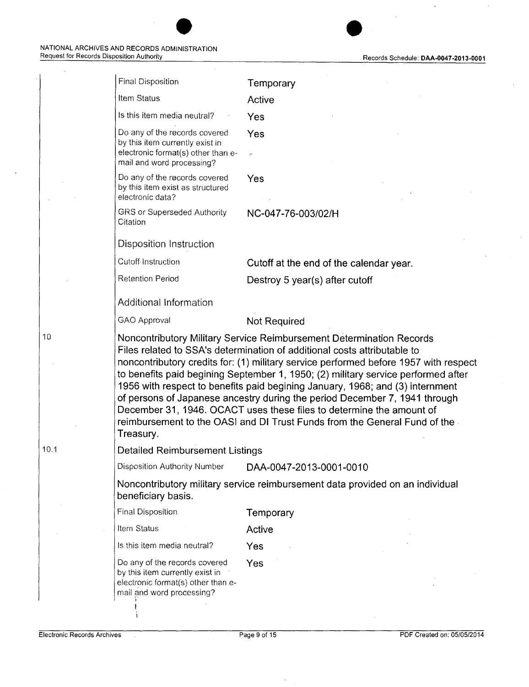| <b>Final Disposition</b>                                                                                                                                                                                                                                                                                                                                                                                                                                                                                                                                                                                                                                       | Temporary                                                                     |
|----------------------------------------------------------------------------------------------------------------------------------------------------------------------------------------------------------------------------------------------------------------------------------------------------------------------------------------------------------------------------------------------------------------------------------------------------------------------------------------------------------------------------------------------------------------------------------------------------------------------------------------------------------------|-------------------------------------------------------------------------------|
| <b>Item Status</b>                                                                                                                                                                                                                                                                                                                                                                                                                                                                                                                                                                                                                                             | Active                                                                        |
| Is this item media neutral?                                                                                                                                                                                                                                                                                                                                                                                                                                                                                                                                                                                                                                    | Yes                                                                           |
| Do any of the records covered<br>by this item currently exist in                                                                                                                                                                                                                                                                                                                                                                                                                                                                                                                                                                                               | Yes                                                                           |
| electronic format(s) other than e-<br>mail and word processing?                                                                                                                                                                                                                                                                                                                                                                                                                                                                                                                                                                                                |                                                                               |
| Do any of the records covered<br>by this item exist as structured<br>electronic data?                                                                                                                                                                                                                                                                                                                                                                                                                                                                                                                                                                          | Yes                                                                           |
| GRS or Superseded Authority<br>Citation                                                                                                                                                                                                                                                                                                                                                                                                                                                                                                                                                                                                                        | NC-047-76-003/02/H                                                            |
| <b>Disposition Instruction</b>                                                                                                                                                                                                                                                                                                                                                                                                                                                                                                                                                                                                                                 |                                                                               |
| Cutoff Instruction                                                                                                                                                                                                                                                                                                                                                                                                                                                                                                                                                                                                                                             | Cutoff at the end of the calendar year.                                       |
| <b>Retention Period</b>                                                                                                                                                                                                                                                                                                                                                                                                                                                                                                                                                                                                                                        | Destroy 5 year(s) after cutoff                                                |
| <b>Additional Information</b>                                                                                                                                                                                                                                                                                                                                                                                                                                                                                                                                                                                                                                  |                                                                               |
| GAO Approval                                                                                                                                                                                                                                                                                                                                                                                                                                                                                                                                                                                                                                                   | <b>Not Required</b>                                                           |
| Noncontributory Military Service Reimbursement Determination Records<br>Files related to SSA's determination of additional costs attributable to<br>noncontributory credits for: (1) military service performed before 1957 with respect<br>to benefits paid begining September 1, 1950; (2) military service performed after<br>1956 with respect to benefits paid begining January, 1968; and (3) internment<br>of persons of Japanese ancestry during the period December 7, 1941 through<br>December 31, 1946. OCACT uses these files to determine the amount of<br>reimbursement to the OASI and DI Trust Funds from the General Fund of the<br>Treasury. |                                                                               |
| <b>Detailed Reimbursement Listings</b>                                                                                                                                                                                                                                                                                                                                                                                                                                                                                                                                                                                                                         |                                                                               |
| <b>Disposition Authority Number</b>                                                                                                                                                                                                                                                                                                                                                                                                                                                                                                                                                                                                                            | DAA-0047-2013-0001-0010                                                       |
| beneficiary basis.                                                                                                                                                                                                                                                                                                                                                                                                                                                                                                                                                                                                                                             | Noncontributory military service reimbursement data provided on an individual |
| <b>Final Disposition</b>                                                                                                                                                                                                                                                                                                                                                                                                                                                                                                                                                                                                                                       | Temporary                                                                     |
| Item Status                                                                                                                                                                                                                                                                                                                                                                                                                                                                                                                                                                                                                                                    | Active                                                                        |
| Is this item media neutral?                                                                                                                                                                                                                                                                                                                                                                                                                                                                                                                                                                                                                                    | Yes                                                                           |
| Do any of the records covered<br>by this item currently exist in<br>electronic format(s) other than e-<br>mail and word processing?                                                                                                                                                                                                                                                                                                                                                                                                                                                                                                                            | Yes                                                                           |
|                                                                                                                                                                                                                                                                                                                                                                                                                                                                                                                                                                                                                                                                |                                                                               |

**e e** 

10.1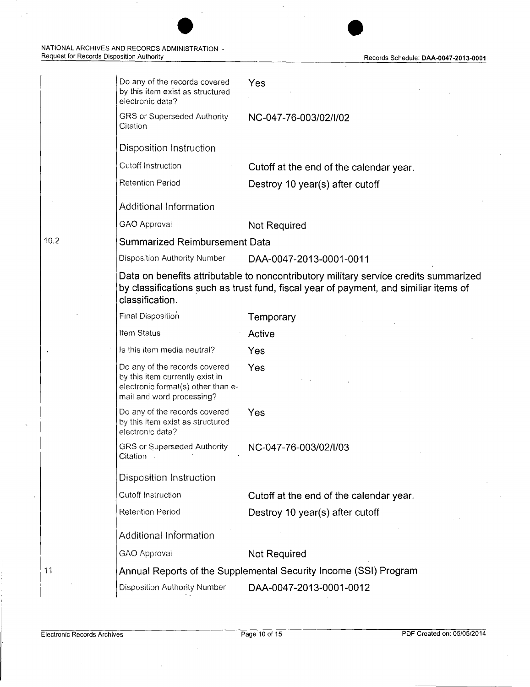#### NATIONAL ARCHIVES AND RECORDS ADMINISTRATION Request for Records Disposition Authority Records Schedule: **DAA-0047 -2013-0001**



| Do any of the records covered<br>by this item exist as structured<br>electronic data?                                               | Yes                                                                                                                                                                          |
|-------------------------------------------------------------------------------------------------------------------------------------|------------------------------------------------------------------------------------------------------------------------------------------------------------------------------|
| <b>GRS or Superseded Authority</b><br>Citation                                                                                      | NC-047-76-003/02/I/02                                                                                                                                                        |
| Disposition Instruction                                                                                                             |                                                                                                                                                                              |
| <b>Cutoff Instruction</b>                                                                                                           | Cutoff at the end of the calendar year.                                                                                                                                      |
| <b>Retention Period</b>                                                                                                             | Destroy 10 year(s) after cutoff                                                                                                                                              |
| <b>Additional Information</b>                                                                                                       |                                                                                                                                                                              |
| <b>GAO Approval</b>                                                                                                                 | Not Required                                                                                                                                                                 |
| <b>Summarized Reimbursement Data</b>                                                                                                |                                                                                                                                                                              |
| <b>Disposition Authority Number</b>                                                                                                 | DAA-0047-2013-0001-0011                                                                                                                                                      |
| classification.                                                                                                                     | Data on benefits attributable to noncontributory military service credits summarized<br>by classifications such as trust fund, fiscal year of payment, and similiar items of |
| Final Disposition                                                                                                                   | Temporary                                                                                                                                                                    |
| <b>Item Status</b>                                                                                                                  | Active                                                                                                                                                                       |
| Is this item media neutral?                                                                                                         | Yes                                                                                                                                                                          |
| Do any of the records covered<br>by this item currently exist in<br>electronic format(s) other than e-<br>mail and word processing? | Yes                                                                                                                                                                          |
| Do any of the records covered<br>by this item exist as structured<br>electronic data?                                               | Yes                                                                                                                                                                          |
| GRS or Superseded Authority<br>Citation                                                                                             | NC-047-76-003/02/I/03                                                                                                                                                        |
| <b>Disposition Instruction</b>                                                                                                      |                                                                                                                                                                              |
| <b>Cutoff Instruction</b>                                                                                                           | Cutoff at the end of the calendar year.                                                                                                                                      |
| <b>Retention Period</b>                                                                                                             | Destroy 10 year(s) after cutoff                                                                                                                                              |
| Additional Information                                                                                                              |                                                                                                                                                                              |
| <b>GAO Approval</b>                                                                                                                 | Not Required                                                                                                                                                                 |
|                                                                                                                                     | Annual Reports of the Supplemental Security Income (SSI) Program                                                                                                             |
| <b>Disposition Authority Number</b>                                                                                                 | DAA-0047-2013-0001-0012                                                                                                                                                      |
|                                                                                                                                     |                                                                                                                                                                              |

 $\overline{\phantom{a}}$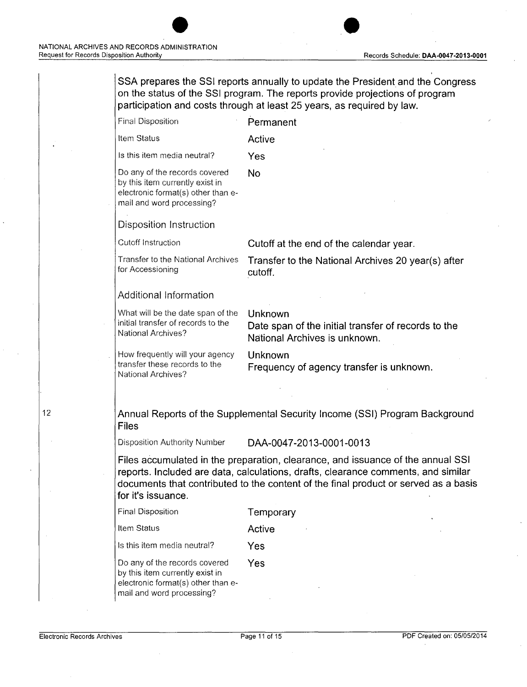**SSA prepares the SSI reports annually to update the President and the Congress on the status of the SSI program. The reports provide projections of program participation and costs through at least 25 years, as required by law.**  Final Disposition Item Status Is this item media neutral? Do any of the records covered by this item currently exist in electronic format(s) other than email and word processing? Disposition Instruction Cutoff Instruction Transfer to the National Archives for Accessioning Additional Information What will be the date span of the initial transfer of records to the National Archives? How frequently will your agency transfer these records to the National Archives? **Permanent Active Yes No Cutoff at the end of the calendar year. Transfer to the National Archives 20 year(s) after cutoff. Unknown Date span of the initial transfer of records to the National Archives is unknown. Unknown Frequency of agency transfer is unknown. Annual Reports of the Supplemental Security Income (SSI) Program Background Files**  Disposition Authority Number DAA-0047-2013-0001-0013 **Files accumulated in the preparation, clearance, and issuance of the annual SSI reports. Included are data, calculations, drafts, clearance comments, and similar documents that contributed to the content of the final product or served as a basis for it's issuance.**  Final Disposition **Temporary**  Item Status **Active**  Is this item media neutral? **Yes**  Do any of the records covered by this item currently exist in electronic format(s) other thanemail and word processing? **Yes**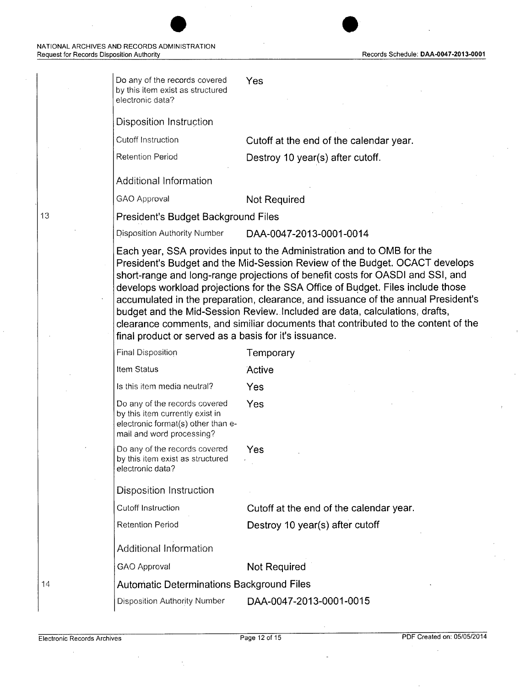13

| Do any of the records covered<br>by this item exist as structured<br>electronic data?                                                                                                                                                                                                                                                                                                                                                                                                                                                                                                                                                        | Yes                                     |  |  |  |
|----------------------------------------------------------------------------------------------------------------------------------------------------------------------------------------------------------------------------------------------------------------------------------------------------------------------------------------------------------------------------------------------------------------------------------------------------------------------------------------------------------------------------------------------------------------------------------------------------------------------------------------------|-----------------------------------------|--|--|--|
| <b>Disposition Instruction</b>                                                                                                                                                                                                                                                                                                                                                                                                                                                                                                                                                                                                               |                                         |  |  |  |
| <b>Cutoff Instruction</b>                                                                                                                                                                                                                                                                                                                                                                                                                                                                                                                                                                                                                    | Cutoff at the end of the calendar year. |  |  |  |
| <b>Retention Period</b>                                                                                                                                                                                                                                                                                                                                                                                                                                                                                                                                                                                                                      | Destroy 10 year(s) after cutoff.        |  |  |  |
| <b>Additional Information</b>                                                                                                                                                                                                                                                                                                                                                                                                                                                                                                                                                                                                                |                                         |  |  |  |
| <b>GAO Approval</b>                                                                                                                                                                                                                                                                                                                                                                                                                                                                                                                                                                                                                          | <b>Not Required</b>                     |  |  |  |
| President's Budget Background Files                                                                                                                                                                                                                                                                                                                                                                                                                                                                                                                                                                                                          |                                         |  |  |  |
| <b>Disposition Authority Number</b>                                                                                                                                                                                                                                                                                                                                                                                                                                                                                                                                                                                                          | DAA-0047-2013-0001-0014                 |  |  |  |
| Each year, SSA provides input to the Administration and to OMB for the<br>President's Budget and the Mid-Session Review of the Budget. OCACT develops<br>short-range and long-range projections of benefit costs for OASDI and SSI, and<br>develops workload projections for the SSA Office of Budget. Files include those<br>accumulated in the preparation, clearance, and issuance of the annual President's<br>budget and the Mid-Session Review. Included are data, calculations, drafts,<br>clearance comments, and similiar documents that contributed to the content of the<br>final product or served as a basis for it's issuance. |                                         |  |  |  |
| <b>Final Disposition</b>                                                                                                                                                                                                                                                                                                                                                                                                                                                                                                                                                                                                                     | Temporary                               |  |  |  |
| Item Status                                                                                                                                                                                                                                                                                                                                                                                                                                                                                                                                                                                                                                  | Active                                  |  |  |  |
| Is this item media neutral?                                                                                                                                                                                                                                                                                                                                                                                                                                                                                                                                                                                                                  | Yes                                     |  |  |  |
| Do any of the records covered<br>by this item currently exist in<br>electronic format(s) other than e-<br>mail and word processing?                                                                                                                                                                                                                                                                                                                                                                                                                                                                                                          | Yes                                     |  |  |  |
| Do any of the records covered<br>by this item exist as structured<br>electronic data?                                                                                                                                                                                                                                                                                                                                                                                                                                                                                                                                                        | Yes                                     |  |  |  |
| <b>Disposition Instruction</b>                                                                                                                                                                                                                                                                                                                                                                                                                                                                                                                                                                                                               |                                         |  |  |  |
| <b>Cutoff Instruction</b>                                                                                                                                                                                                                                                                                                                                                                                                                                                                                                                                                                                                                    | Cutoff at the end of the calendar year. |  |  |  |
| <b>Retention Period</b>                                                                                                                                                                                                                                                                                                                                                                                                                                                                                                                                                                                                                      | Destroy 10 year(s) after cutoff         |  |  |  |
| <b>Additional Information</b>                                                                                                                                                                                                                                                                                                                                                                                                                                                                                                                                                                                                                |                                         |  |  |  |
| <b>GAO Approval</b>                                                                                                                                                                                                                                                                                                                                                                                                                                                                                                                                                                                                                          | <b>Not Required</b>                     |  |  |  |
| <b>Automatic Determinations Background Files</b>                                                                                                                                                                                                                                                                                                                                                                                                                                                                                                                                                                                             |                                         |  |  |  |
| <b>Disposition Authority Number</b>                                                                                                                                                                                                                                                                                                                                                                                                                                                                                                                                                                                                          | DAA-0047-2013-0001-0015                 |  |  |  |

 $\bar{z}$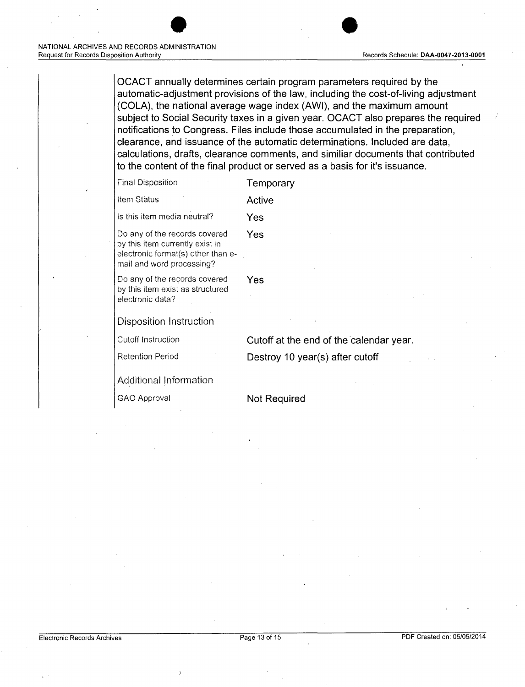OCACT annually determines certain program parameters required by the automatic-adjustment provisions of the law, including the cost-of-living adjustment (COLA), the national average wage index (AWl), and the maximum amount subject to Social Security taxes in a given year. OCACT also prepares the required notifications to Congress. Files include those accumulated in the preparation, clearance, and issuance of the automatic determinations. Included are data, calculations, drafts, clearance comments, and similiar documents that contributed to the content of the final product or served as a basis for it's issuance.

| <b>Final Disposition</b> |  | Temporary |
|--------------------------|--|-----------|
|--------------------------|--|-----------|

| ltem Status |  | Active |
|-------------|--|--------|
|             |  |        |

Is this item media neutral? Yes

Do any of the records covered Yes by this item currently exist in electronic format(s) other than e-

Do any of the records covered Yes by this item exist as structured electronic data?

Disposition Instruction

mail and word processing?

Cutoff Instruction Cutoff at the end of the calendar year.

Retention Period Destroy 10 year(s) after cutoff

Additional Information

GAO Approval Not Required